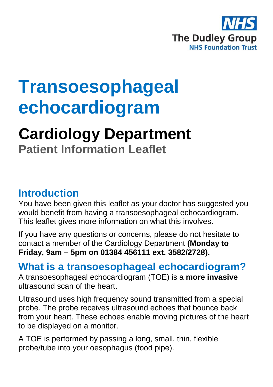

# **Transoesophageal echocardiogram**

## **Cardiology Department**

**Patient Information Leaflet**

#### **Introduction**

You have been given this leaflet as your doctor has suggested you would benefit from having a transoesophageal echocardiogram. This leaflet gives more information on what this involves.

If you have any questions or concerns, please do not hesitate to contact a member of the Cardiology Department **(Monday to Friday, 9am – 5pm on 01384 456111 ext. 3582/2728).**

#### **What is a transoesophageal echocardiogram?**

A transoesophageal echocardiogram (TOE) is a **more invasive** ultrasound scan of the heart.

Ultrasound uses high frequency sound transmitted from a special probe. The probe receives ultrasound echoes that bounce back from your heart. These echoes enable moving pictures of the heart to be displayed on a monitor.

A TOE is performed by passing a long, small, thin, flexible probe/tube into your oesophagus (food pipe).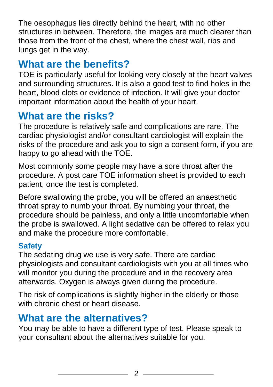The oesophagus lies directly behind the heart, with no other structures in between. Therefore, the images are much clearer than those from the front of the chest, where the chest wall, ribs and lungs get in the way.

### **What are the benefits?**

TOE is particularly useful for looking very closely at the heart valves and surrounding structures. It is also a good test to find holes in the heart, blood clots or evidence of infection. It will give your doctor important information about the health of your heart.

## **What are the risks?**

The procedure is relatively safe and complications are rare. The cardiac physiologist and/or consultant cardiologist will explain the risks of the procedure and ask you to sign a consent form, if you are happy to go ahead with the TOE.

Most commonly some people may have a sore throat after the procedure. A post care TOE information sheet is provided to each patient, once the test is completed.

Before swallowing the probe, you will be offered an anaesthetic throat spray to numb your throat. By numbing your throat, the procedure should be painless, and only a little uncomfortable when the probe is swallowed. A light sedative can be offered to relax you and make the procedure more comfortable.

#### **Safety**

The sedating drug we use is very safe. There are cardiac physiologists and consultant cardiologists with you at all times who will monitor you during the procedure and in the recovery area afterwards. Oxygen is always given during the procedure.

The risk of complications is slightly higher in the elderly or those with chronic chest or heart disease.

## **What are the alternatives?**

You may be able to have a different type of test. Please speak to your consultant about the alternatives suitable for you.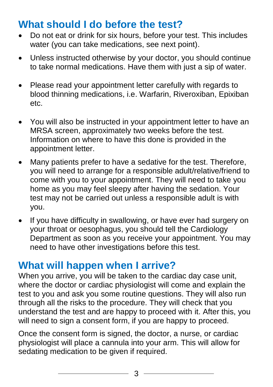#### **What should I do before the test?**

- Do not eat or drink for six hours, before your test. This includes water (you can take medications, see next point).
- Unless instructed otherwise by your doctor, you should continue to take normal medications. Have them with just a sip of water.
- Please read your appointment letter carefully with regards to blood thinning medications, i.e. Warfarin, Riveroxiban, Epixiban etc.
- You will also be instructed in your appointment letter to have an MRSA screen, approximately two weeks before the test. Information on where to have this done is provided in the appointment letter.
- Many patients prefer to have a sedative for the test. Therefore, you will need to arrange for a responsible adult/relative/friend to come with you to your appointment. They will need to take you home as you may feel sleepy after having the sedation. Your test may not be carried out unless a responsible adult is with you.
- If you have difficulty in swallowing, or have ever had surgery on your throat or oesophagus, you should tell the Cardiology Department as soon as you receive your appointment. You may need to have other investigations before this test.

#### **What will happen when I arrive?**

When you arrive, you will be taken to the cardiac day case unit. where the doctor or cardiac physiologist will come and explain the test to you and ask you some routine questions. They will also run through all the risks to the procedure. They will check that you understand the test and are happy to proceed with it. After this, you will need to sign a consent form, if you are happy to proceed.

Once the consent form is signed, the doctor, a nurse, or cardiac physiologist will place a cannula into your arm. This will allow for sedating medication to be given if required.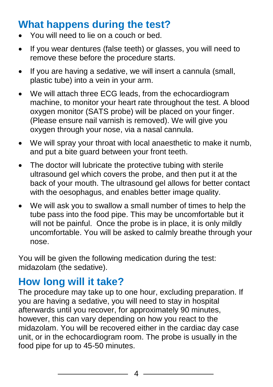### **What happens during the test?**

- You will need to lie on a couch or bed.
- If you wear dentures (false teeth) or glasses, you will need to remove these before the procedure starts.
- If you are having a sedative, we will insert a cannula (small, plastic tube) into a vein in your arm.
- We will attach three ECG leads, from the echocardiogram machine, to monitor your heart rate throughout the test. A blood oxygen monitor (SATS probe) will be placed on your finger. (Please ensure nail varnish is removed). We will give you oxygen through your nose, via a nasal cannula.
- We will spray your throat with local anaesthetic to make it numb, and put a bite guard between your front teeth.
- The doctor will lubricate the protective tubing with sterile ultrasound gel which covers the probe, and then put it at the back of your mouth. The ultrasound gel allows for better contact with the oesophagus, and enables better image quality.
- We will ask you to swallow a small number of times to help the tube pass into the food pipe. This may be uncomfortable but it will not be painful. Once the probe is in place, it is only mildly uncomfortable. You will be asked to calmly breathe through your nose.

You will be given the following medication during the test: midazolam (the sedative).

### **How long will it take?**

The procedure may take up to one hour, excluding preparation. If you are having a sedative, you will need to stay in hospital afterwards until you recover, for approximately 90 minutes, however, this can vary depending on how you react to the midazolam. You will be recovered either in the cardiac day case unit, or in the echocardiogram room. The probe is usually in the food pipe for up to 45-50 minutes.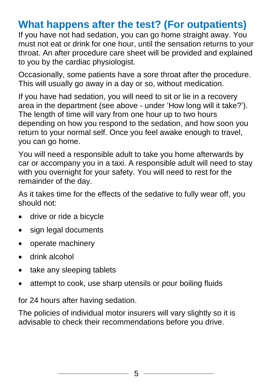#### **What happens after the test? (For outpatients)**

If you have not had sedation, you can go home straight away. You must not eat or drink for one hour, until the sensation returns to your throat. An after procedure care sheet will be provided and explained to you by the cardiac physiologist.

Occasionally, some patients have a sore throat after the procedure. This will usually go away in a day or so, without medication.

If you have had sedation, you will need to sit or lie in a recovery area in the department (see above - under 'How long will it take?'). The length of time will vary from one hour up to two hours depending on how you respond to the sedation, and how soon you return to your normal self. Once you feel awake enough to travel, you can go home.

You will need a responsible adult to take you home afterwards by car or accompany you in a taxi. A responsible adult will need to stay with you overnight for your safety. You will need to rest for the remainder of the day.

As it takes time for the effects of the sedative to fully wear off, you should not:

- drive or ride a bicycle
- sign legal documents
- operate machinery
- drink alcohol
- take any sleeping tablets
- attempt to cook, use sharp utensils or pour boiling fluids

for 24 hours after having sedation.

The policies of individual motor insurers will vary slightly so it is advisable to check their recommendations before you drive.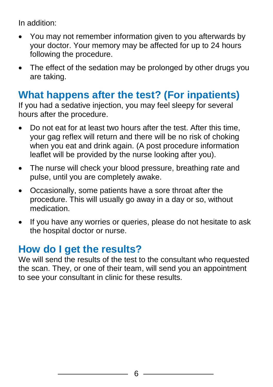In addition:

- You may not remember information given to you afterwards by your doctor. Your memory may be affected for up to 24 hours following the procedure.
- The effect of the sedation may be prolonged by other drugs you are taking.

#### **What happens after the test? (For inpatients)**

If you had a sedative injection, you may feel sleepy for several hours after the procedure.

- Do not eat for at least two hours after the test. After this time, your gag reflex will return and there will be no risk of choking when you eat and drink again. (A post procedure information leaflet will be provided by the nurse looking after you).
- The nurse will check your blood pressure, breathing rate and pulse, until you are completely awake.
- Occasionally, some patients have a sore throat after the procedure. This will usually go away in a day or so, without medication.
- If you have any worries or queries, please do not hesitate to ask the hospital doctor or nurse.

#### **How do I get the results?**

We will send the results of the test to the consultant who requested the scan. They, or one of their team, will send you an appointment to see your consultant in clinic for these results.